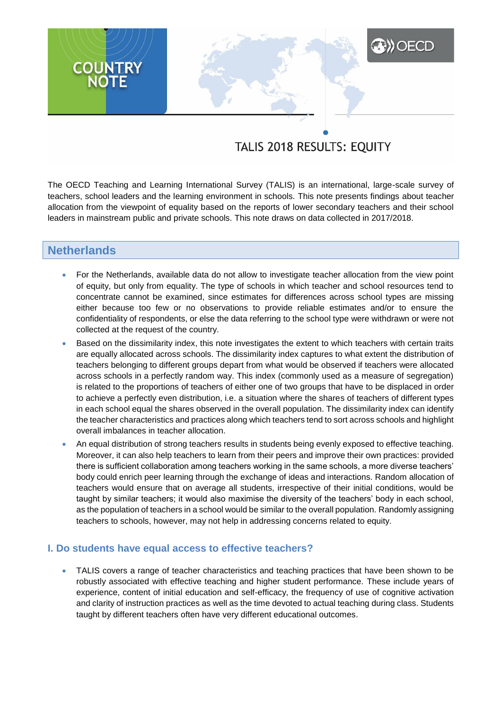# TALIS 2018 RESULTS: EQUITY

**A) OECD** 

The OECD Teaching and Learning International Survey (TALIS) is an international, large-scale survey of teachers, school leaders and the learning environment in schools. This note presents findings about teacher allocation from the viewpoint of equality based on the reports of lower secondary teachers and their school leaders in mainstream public and private schools. This note draws on data collected in 2017/2018.

# **Netherlands**

**COUNTRY**<br>NOTE

- For the Netherlands, available data do not allow to investigate teacher allocation from the view point of equity, but only from equality. The type of schools in which teacher and school resources tend to concentrate cannot be examined, since estimates for differences across school types are missing either because too few or no observations to provide reliable estimates and/or to ensure the confidentiality of respondents, or else the data referring to the school type were withdrawn or were not collected at the request of the country.
- Based on the dissimilarity index, this note investigates the extent to which teachers with certain traits are equally allocated across schools. The dissimilarity index captures to what extent the distribution of teachers belonging to different groups depart from what would be observed if teachers were allocated across schools in a perfectly random way. This index (commonly used as a measure of segregation) is related to the proportions of teachers of either one of two groups that have to be displaced in order to achieve a perfectly even distribution, i.e. a situation where the shares of teachers of different types in each school equal the shares observed in the overall population. The dissimilarity index can identify the teacher characteristics and practices along which teachers tend to sort across schools and highlight overall imbalances in teacher allocation.
- An equal distribution of strong teachers results in students being evenly exposed to effective teaching. Moreover, it can also help teachers to learn from their peers and improve their own practices: provided there is sufficient collaboration among teachers working in the same schools, a more diverse teachers' body could enrich peer learning through the exchange of ideas and interactions. Random allocation of teachers would ensure that on average all students, irrespective of their initial conditions, would be taught by similar teachers; it would also maximise the diversity of the teachers' body in each school, as the population of teachers in a school would be similar to the overall population. Randomly assigning teachers to schools, however, may not help in addressing concerns related to equity.

## **I. Do students have equal access to effective teachers?**

 TALIS covers a range of teacher characteristics and teaching practices that have been shown to be robustly associated with effective teaching and higher student performance. These include years of experience, content of initial education and self-efficacy, the frequency of use of cognitive activation and clarity of instruction practices as well as the time devoted to actual teaching during class. Students taught by different teachers often have very different educational outcomes.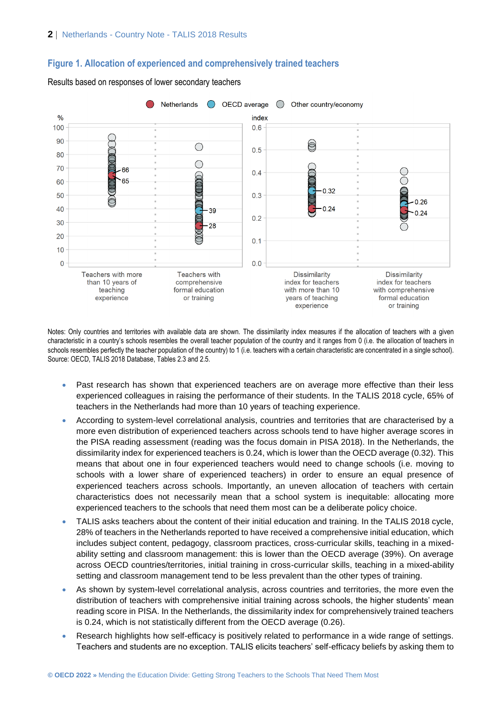## **Figure 1. Allocation of experienced and comprehensively trained teachers**



Results based on responses of lower secondary teachers

Notes: Only countries and territories with available data are shown. The dissimilarity index measures if the allocation of teachers with a given characteristic in a country's schools resembles the overall teacher population of the country and it ranges from 0 (i.e. the allocation of teachers in schools resembles perfectly the teacher population of the country) to 1 (i.e. teachers with a certain characteristic are concentrated in a single school). Source: OECD, TALIS 2018 Database, Tables 2.3 and 2.5.

- Past research has shown that experienced teachers are on average more effective than their less experienced colleagues in raising the performance of their students. In the TALIS 2018 cycle, 65% of teachers in the Netherlands had more than 10 years of teaching experience.
- According to system-level correlational analysis, countries and territories that are characterised by a more even distribution of experienced teachers across schools tend to have higher average scores in the PISA reading assessment (reading was the focus domain in PISA 2018). In the Netherlands, the dissimilarity index for experienced teachers is 0.24, which is lower than the OECD average (0.32). This means that about one in four experienced teachers would need to change schools (i.e. moving to schools with a lower share of experienced teachers) in order to ensure an equal presence of experienced teachers across schools. Importantly, an uneven allocation of teachers with certain characteristics does not necessarily mean that a school system is inequitable: allocating more experienced teachers to the schools that need them most can be a deliberate policy choice.
- TALIS asks teachers about the content of their initial education and training. In the TALIS 2018 cycle, 28% of teachers in the Netherlands reported to have received a comprehensive initial education, which includes subject content, pedagogy, classroom practices, cross-curricular skills, teaching in a mixedability setting and classroom management: this is lower than the OECD average (39%). On average across OECD countries/territories, initial training in cross-curricular skills, teaching in a mixed-ability setting and classroom management tend to be less prevalent than the other types of training.
- As shown by system-level correlational analysis, across countries and territories, the more even the distribution of teachers with comprehensive initial training across schools, the higher students' mean reading score in PISA. In the Netherlands, the dissimilarity index for comprehensively trained teachers is 0.24, which is not statistically different from the OECD average (0.26).
- Research highlights how self-efficacy is positively related to performance in a wide range of settings. Teachers and students are no exception. TALIS elicits teachers' self-efficacy beliefs by asking them to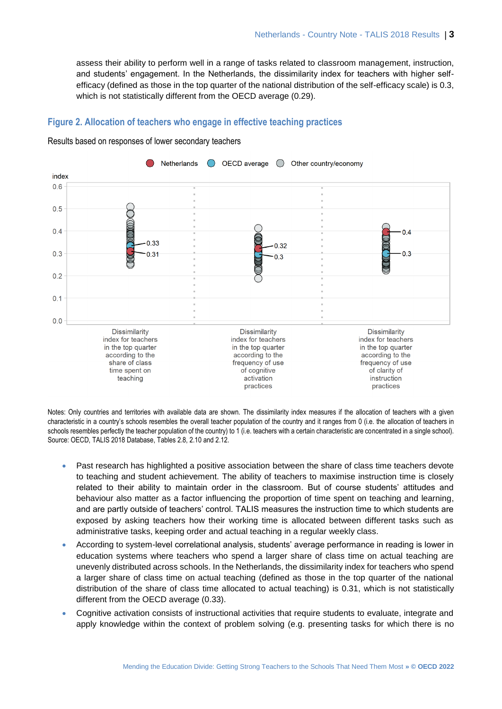assess their ability to perform well in a range of tasks related to classroom management, instruction, and students' engagement. In the Netherlands, the dissimilarity index for teachers with higher selfefficacy (defined as those in the top quarter of the national distribution of the self-efficacy scale) is 0.3, which is not statistically different from the OECD average (0.29).

# **Figure 2. Allocation of teachers who engage in effective teaching practices**



Results based on responses of lower secondary teachers

Notes: Only countries and territories with available data are shown. The dissimilarity index measures if the allocation of teachers with a given characteristic in a country's schools resembles the overall teacher population of the country and it ranges from 0 (i.e. the allocation of teachers in schools resembles perfectly the teacher population of the country) to 1 (i.e. teachers with a certain characteristic are concentrated in a single school). Source: OECD, TALIS 2018 Database, Tables 2.8, 2.10 and 2.12.

- Past research has highlighted a positive association between the share of class time teachers devote to teaching and student achievement. The ability of teachers to maximise instruction time is closely related to their ability to maintain order in the classroom. But of course students' attitudes and behaviour also matter as a factor influencing the proportion of time spent on teaching and learning, and are partly outside of teachers' control. TALIS measures the instruction time to which students are exposed by asking teachers how their working time is allocated between different tasks such as administrative tasks, keeping order and actual teaching in a regular weekly class.
- According to system-level correlational analysis, students' average performance in reading is lower in education systems where teachers who spend a larger share of class time on actual teaching are unevenly distributed across schools. In the Netherlands, the dissimilarity index for teachers who spend a larger share of class time on actual teaching (defined as those in the top quarter of the national distribution of the share of class time allocated to actual teaching) is 0.31, which is not statistically different from the OECD average (0.33).
- Cognitive activation consists of instructional activities that require students to evaluate, integrate and apply knowledge within the context of problem solving (e.g. presenting tasks for which there is no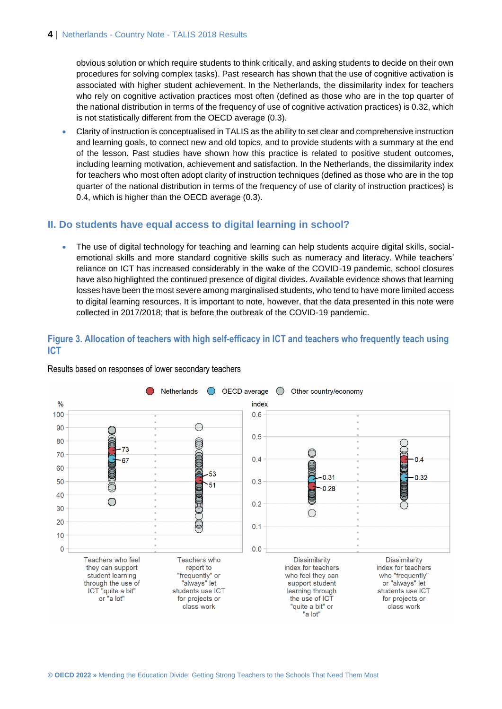### **4** | Netherlands - Country Note - TALIS 2018 Results

obvious solution or which require students to think critically, and asking students to decide on their own procedures for solving complex tasks). Past research has shown that the use of cognitive activation is associated with higher student achievement. In the Netherlands, the dissimilarity index for teachers who rely on cognitive activation practices most often (defined as those who are in the top quarter of the national distribution in terms of the frequency of use of cognitive activation practices) is 0.32, which is not statistically different from the OECD average (0.3).

 Clarity of instruction is conceptualised in TALIS as the ability to set clear and comprehensive instruction and learning goals, to connect new and old topics, and to provide students with a summary at the end of the lesson. Past studies have shown how this practice is related to positive student outcomes, including learning motivation, achievement and satisfaction. In the Netherlands, the dissimilarity index for teachers who most often adopt clarity of instruction techniques (defined as those who are in the top quarter of the national distribution in terms of the frequency of use of clarity of instruction practices) is 0.4, which is higher than the OECD average (0.3).

# **II. Do students have equal access to digital learning in school?**

• The use of digital technology for teaching and learning can help students acquire digital skills, socialemotional skills and more standard cognitive skills such as numeracy and literacy. While teachers' reliance on ICT has increased considerably in the wake of the COVID-19 pandemic, school closures have also highlighted the continued presence of digital divides. Available evidence shows that learning losses have been the most severe among marginalised students, who tend to have more limited access to digital learning resources. It is important to note, however, that the data presented in this note were collected in 2017/2018; that is before the outbreak of the COVID-19 pandemic.

## **Figure 3. Allocation of teachers with high self-efficacy in ICT and teachers who frequently teach using ICT**



Results based on responses of lower secondary teachers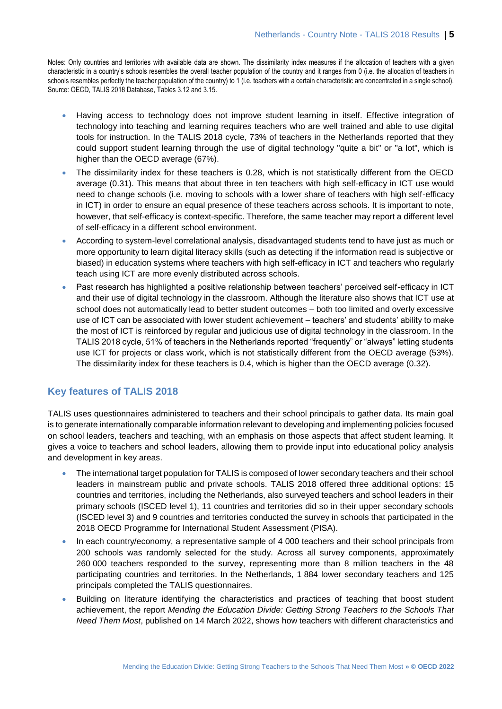Notes: Only countries and territories with available data are shown. The dissimilarity index measures if the allocation of teachers with a given characteristic in a country's schools resembles the overall teacher population of the country and it ranges from 0 (i.e. the allocation of teachers in schools resembles perfectly the teacher population of the country) to 1 (i.e. teachers with a certain characteristic are concentrated in a single school). Source: OECD, TALIS 2018 Database, Tables 3.12 and 3.15.

- Having access to technology does not improve student learning in itself. Effective integration of technology into teaching and learning requires teachers who are well trained and able to use digital tools for instruction. In the TALIS 2018 cycle, 73% of teachers in the Netherlands reported that they could support student learning through the use of digital technology "quite a bit" or "a lot", which is higher than the OECD average (67%).
- The dissimilarity index for these teachers is 0.28, which is not statistically different from the OECD average (0.31). This means that about three in ten teachers with high self-efficacy in ICT use would need to change schools (i.e. moving to schools with a lower share of teachers with high self-efficacy in ICT) in order to ensure an equal presence of these teachers across schools. It is important to note, however, that self-efficacy is context-specific. Therefore, the same teacher may report a different level of self-efficacy in a different school environment.
- According to system-level correlational analysis, disadvantaged students tend to have just as much or more opportunity to learn digital literacy skills (such as detecting if the information read is subjective or biased) in education systems where teachers with high self-efficacy in ICT and teachers who regularly teach using ICT are more evenly distributed across schools.
- Past research has highlighted a positive relationship between teachers' perceived self-efficacy in ICT and their use of digital technology in the classroom. Although the literature also shows that ICT use at school does not automatically lead to better student outcomes – both too limited and overly excessive use of ICT can be associated with lower student achievement – teachers' and students' ability to make the most of ICT is reinforced by regular and judicious use of digital technology in the classroom. In the TALIS 2018 cycle, 51% of teachers in the Netherlands reported "frequently" or "always" letting students use ICT for projects or class work, which is not statistically different from the OECD average (53%). The dissimilarity index for these teachers is 0.4, which is higher than the OECD average (0.32).

## **Key features of TALIS 2018**

TALIS uses questionnaires administered to teachers and their school principals to gather data. Its main goal is to generate internationally comparable information relevant to developing and implementing policies focused on school leaders, teachers and teaching, with an emphasis on those aspects that affect student learning. It gives a voice to teachers and school leaders, allowing them to provide input into educational policy analysis and development in key areas.

- The international target population for TALIS is composed of lower secondary teachers and their school leaders in mainstream public and private schools. TALIS 2018 offered three additional options: 15 countries and territories, including the Netherlands, also surveyed teachers and school leaders in their primary schools (ISCED level 1), 11 countries and territories did so in their upper secondary schools (ISCED level 3) and 9 countries and territories conducted the survey in schools that participated in the 2018 OECD Programme for International Student Assessment (PISA).
- In each country/economy, a representative sample of 4 000 teachers and their school principals from 200 schools was randomly selected for the study. Across all survey components, approximately 260 000 teachers responded to the survey, representing more than 8 million teachers in the 48 participating countries and territories. In the Netherlands, 1 884 lower secondary teachers and 125 principals completed the TALIS questionnaires.
- Building on literature identifying the characteristics and practices of teaching that boost student achievement, the report *Mending the Education Divide: Getting Strong Teachers to the Schools That Need Them Most*, published on 14 March 2022, shows how teachers with different characteristics and